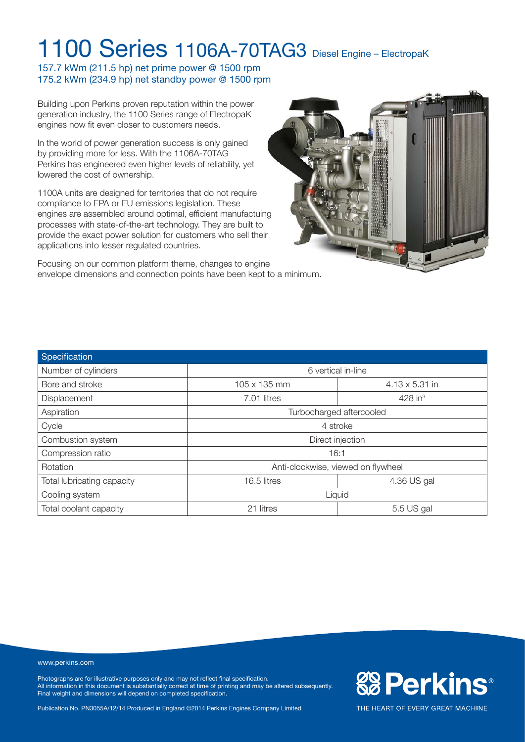157.7 kWm (211.5 hp) net prime power @ 1500 rpm 175.2 kWm (234.9 hp) net standby power @ 1500 rpm

Building upon Perkins proven reputation within the power generation industry, the 1100 Series range of ElectropaK engines now fit even closer to customers needs.

In the world of power generation success is only gained by providing more for less. With the 1106A-70TAG Perkins has engineered even higher levels of reliability, yet lowered the cost of ownership.

1100A units are designed for territories that do not require compliance to EPA or EU emissions legislation. These engines are assembled around optimal, efficient manufactuing processes with state-of-the-art technology. They are built to provide the exact power solution for customers who sell their applications into lesser regulated countries.





| Specification              |                                      |                |  |
|----------------------------|--------------------------------------|----------------|--|
| Number of cylinders        | 6 vertical in-line                   |                |  |
| Bore and stroke            | 105 x 135 mm                         | 4.13 x 5.31 in |  |
| Displacement               | $428$ in <sup>3</sup><br>7.01 litres |                |  |
| Aspiration                 | Turbocharged aftercooled             |                |  |
| Cycle                      | 4 stroke                             |                |  |
| Combustion system          | Direct injection                     |                |  |
| Compression ratio          | 16:1                                 |                |  |
| Rotation                   | Anti-clockwise, viewed on flywheel   |                |  |
| Total lubricating capacity | 16.5 litres<br>4.36 US gal           |                |  |
| Cooling system             | Liquid                               |                |  |
| Total coolant capacity     | 21 litres                            | 5.5 US gal     |  |

#### www.perkins.com

Photographs are for illustrative purposes only and may not reflect final specification. All information in this document is substantially correct at time of printing and may be altered subsequently. Final weight and dimensions will depend on completed specification.

Publication No. PN3055A/12/14 Produced in England ©2014 Perkins Engines Company Limited

**& Perkins®**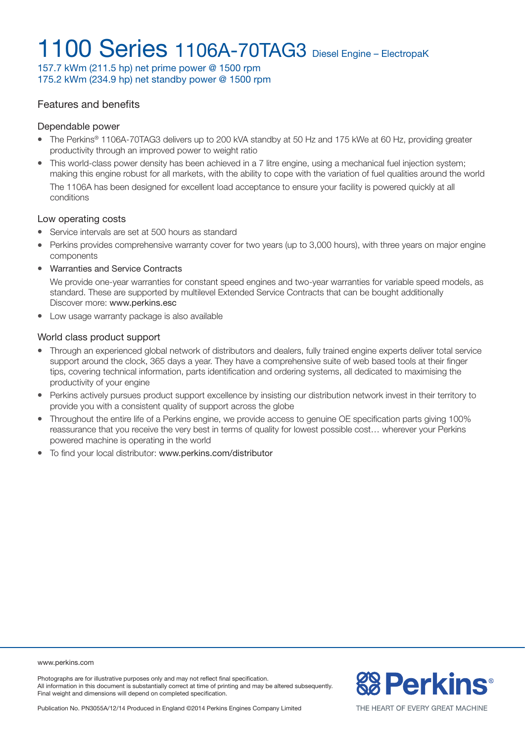157.7 kWm (211.5 hp) net prime power @ 1500 rpm 175.2 kWm (234.9 hp) net standby power @ 1500 rpm

### Features and benefits

#### Dependable power

- The Perkins® 1106A-70TAG3 delivers up to 200 kVA standby at 50 Hz and 175 kWe at 60 Hz, providing greater productivity through an improved power to weight ratio
- This world-class power density has been achieved in a 7 litre engine, using a mechanical fuel injection system; making this engine robust for all markets, with the ability to cope with the variation of fuel qualities around the world The 1106A has been designed for excellent load acceptance to ensure your facility is powered quickly at all conditions

#### Low operating costs

- Service intervals are set at 500 hours as standard
- Perkins provides comprehensive warranty cover for two years (up to 3,000 hours), with three years on major engine components
- Warranties and Service Contracts

We provide one-year warranties for constant speed engines and two-year warranties for variable speed models, as standard. These are supported by multilevel Extended Service Contracts that can be bought additionally Discover more: www.perkins.esc

• Low usage warranty package is also available

#### World class product support

- Through an experienced global network of distributors and dealers, fully trained engine experts deliver total service support around the clock, 365 days a year. They have a comprehensive suite of web based tools at their finger tips, covering technical information, parts identification and ordering systems, all dedicated to maximising the productivity of your engine
- Perkins actively pursues product support excellence by insisting our distribution network invest in their territory to provide you with a consistent quality of support across the globe
- Throughout the entire life of a Perkins engine, we provide access to genuine OE specification parts giving 100% reassurance that you receive the very best in terms of quality for lowest possible cost… wherever your Perkins powered machine is operating in the world
- To find your local distributor: www.perkins.com/distributor

www.perkins.com

Photographs are for illustrative purposes only and may not reflect final specification. All information in this document is substantially correct at time of printing and may be altered subsequently. Final weight and dimensions will depend on completed specification.

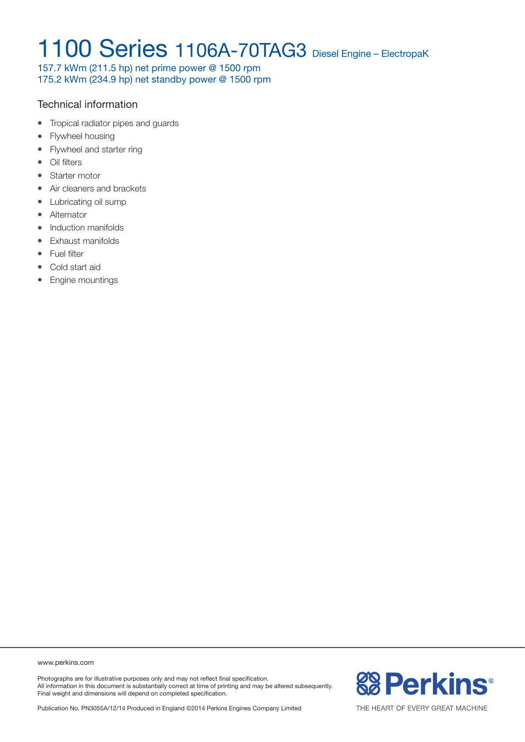157.7 kWm (211.5 hp) net prime power @ 1500 rpm 175.2 kWm (234.9 hp) net standby power @ 1500 rpm

### Technical information

- Tropical radiator pipes and quards
- Flywheel housing
- Flywheel and starter ring
- Oil filters
- Starter motor
- Air cleaners and brackets
- Lubricating oil sump
- Alternator
- Induction manifolds
- Exhaust manifolds
- Fuel filter
- Cold start aid
- Engine mountings

www.perkins.com

Photographs are for illustrative purposes only and may not reflect final specification. All information in this document is substantially correct at time of printing and may be altered subsequently. Final weight and dimensions will depend on completed specification.

Publication No. PN3055A/12/14 Produced in England ©2014 Perkins Engines Company Limited

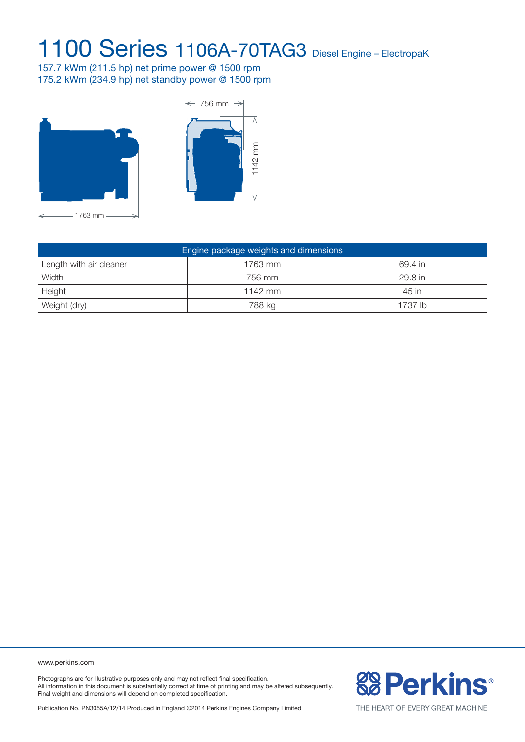157.7 kWm (211.5 hp) net prime power @ 1500 rpm 175.2 kWm (234.9 hp) net standby power @ 1500 rpm





| Engine package weights and dimensions |         |         |  |  |  |
|---------------------------------------|---------|---------|--|--|--|
| Length with air cleaner               | 1763 mm | 69.4 in |  |  |  |
| Width                                 | 756 mm  | 29.8 in |  |  |  |
| Height                                | 1142 mm | 45 in   |  |  |  |
| Weight (dry)                          | 788 kg  | 1737 lb |  |  |  |

www.perkins.com

Photographs are for illustrative purposes only and may not reflect final specification. All information in this document is substantially correct at time of printing and may be altered subsequently. Final weight and dimensions will depend on completed specification.

**& Perkins®** 

Publication No. PN3055A/12/14 Produced in England ©2014 Perkins Engines Company Limited